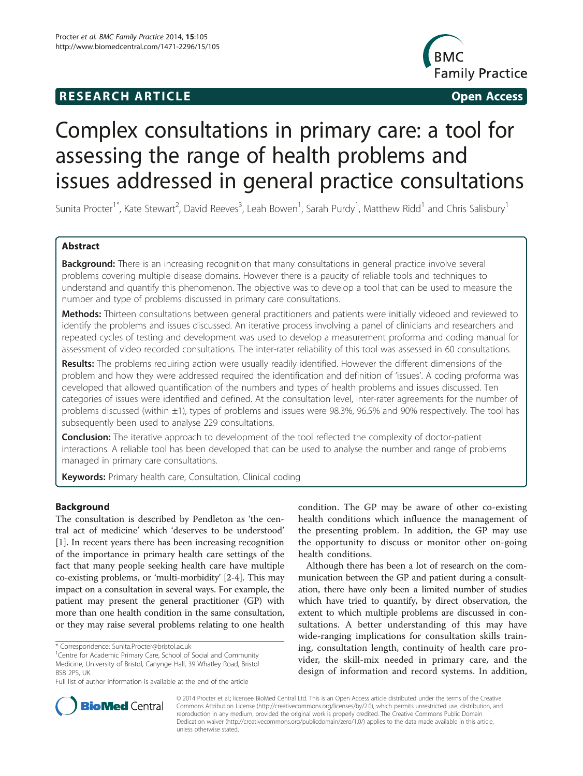## R E S EAR CH A R TIC L E Open Access



# Complex consultations in primary care: a tool for assessing the range of health problems and issues addressed in general practice consultations

Sunita Procter<sup>1\*</sup>, Kate Stewart<sup>2</sup>, David Reeves<sup>3</sup>, Leah Bowen<sup>1</sup>, Sarah Purdy<sup>1</sup>, Matthew Ridd<sup>1</sup> and Chris Salisbury<sup>1</sup>

## Abstract

Background: There is an increasing recognition that many consultations in general practice involve several problems covering multiple disease domains. However there is a paucity of reliable tools and techniques to understand and quantify this phenomenon. The objective was to develop a tool that can be used to measure the number and type of problems discussed in primary care consultations.

Methods: Thirteen consultations between general practitioners and patients were initially videoed and reviewed to identify the problems and issues discussed. An iterative process involving a panel of clinicians and researchers and repeated cycles of testing and development was used to develop a measurement proforma and coding manual for assessment of video recorded consultations. The inter-rater reliability of this tool was assessed in 60 consultations.

Results: The problems requiring action were usually readily identified. However the different dimensions of the problem and how they were addressed required the identification and definition of 'issues'. A coding proforma was developed that allowed quantification of the numbers and types of health problems and issues discussed. Ten categories of issues were identified and defined. At the consultation level, inter-rater agreements for the number of problems discussed (within ±1), types of problems and issues were 98.3%, 96.5% and 90% respectively. The tool has subsequently been used to analyse 229 consultations.

**Conclusion:** The iterative approach to development of the tool reflected the complexity of doctor-patient interactions. A reliable tool has been developed that can be used to analyse the number and range of problems managed in primary care consultations.

Keywords: Primary health care, Consultation, Clinical coding

## Background

The consultation is described by Pendleton as 'the central act of medicine' which 'deserves to be understood' [[1\]](#page-6-0). In recent years there has been increasing recognition of the importance in primary health care settings of the fact that many people seeking health care have multiple co-existing problems, or 'multi-morbidity' [[2-4\]](#page-6-0). This may impact on a consultation in several ways. For example, the patient may present the general practitioner (GP) with more than one health condition in the same consultation, or they may raise several problems relating to one health

condition. The GP may be aware of other co-existing health conditions which influence the management of the presenting problem. In addition, the GP may use the opportunity to discuss or monitor other on-going health conditions.

Although there has been a lot of research on the communication between the GP and patient during a consultation, there have only been a limited number of studies which have tried to quantify, by direct observation, the extent to which multiple problems are discussed in consultations. A better understanding of this may have wide-ranging implications for consultation skills training, consultation length, continuity of health care provider, the skill-mix needed in primary care, and the design of information and record systems. In addition,



© 2014 Procter et al.; licensee BioMed Central Ltd. This is an Open Access article distributed under the terms of the Creative Commons Attribution License [\(http://creativecommons.org/licenses/by/2.0\)](http://creativecommons.org/licenses/by/2.0), which permits unrestricted use, distribution, and reproduction in any medium, provided the original work is properly credited. The Creative Commons Public Domain Dedication waiver [\(http://creativecommons.org/publicdomain/zero/1.0/](http://creativecommons.org/publicdomain/zero/1.0/)) applies to the data made available in this article, unless otherwise stated.

<sup>\*</sup> Correspondence: [Sunita.Procter@bristol.ac.uk](mailto:Sunita.Procter@bristol.ac.uk) <sup>1</sup>

<sup>&</sup>lt;sup>1</sup> Centre for Academic Primary Care, School of Social and Community Medicine, University of Bristol, Canynge Hall, 39 Whatley Road, Bristol BS8 2PS, UK

Full list of author information is available at the end of the article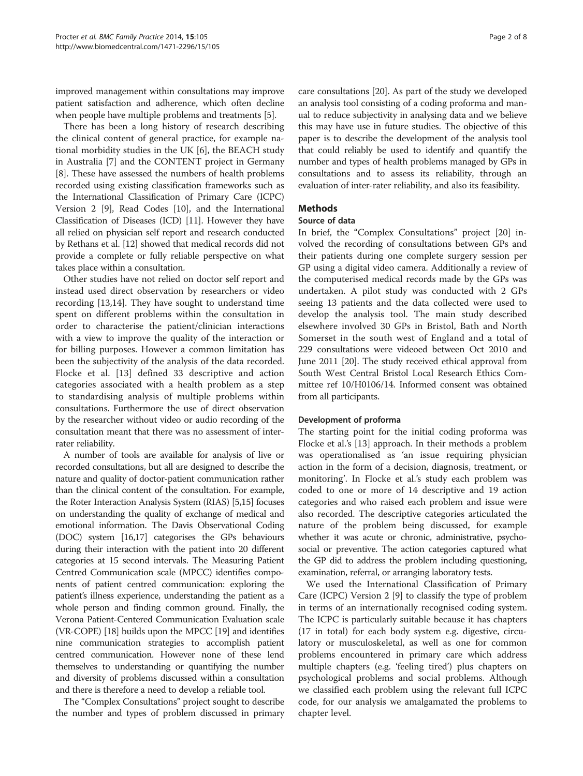improved management within consultations may improve patient satisfaction and adherence, which often decline when people have multiple problems and treatments [[5\]](#page-6-0).

There has been a long history of research describing the clinical content of general practice, for example national morbidity studies in the UK [[6\]](#page-6-0), the BEACH study in Australia [\[7](#page-6-0)] and the CONTENT project in Germany [[8\]](#page-6-0). These have assessed the numbers of health problems recorded using existing classification frameworks such as the International Classification of Primary Care (ICPC) Version 2 [[9](#page-6-0)], Read Codes [\[10\]](#page-6-0), and the International Classification of Diseases (ICD) [[11\]](#page-6-0). However they have all relied on physician self report and research conducted by Rethans et al. [\[12\]](#page-6-0) showed that medical records did not provide a complete or fully reliable perspective on what takes place within a consultation.

Other studies have not relied on doctor self report and instead used direct observation by researchers or video recording [[13,14](#page-6-0)]. They have sought to understand time spent on different problems within the consultation in order to characterise the patient/clinician interactions with a view to improve the quality of the interaction or for billing purposes. However a common limitation has been the subjectivity of the analysis of the data recorded. Flocke et al. [[13\]](#page-6-0) defined 33 descriptive and action categories associated with a health problem as a step to standardising analysis of multiple problems within consultations. Furthermore the use of direct observation by the researcher without video or audio recording of the consultation meant that there was no assessment of interrater reliability.

A number of tools are available for analysis of live or recorded consultations, but all are designed to describe the nature and quality of doctor-patient communication rather than the clinical content of the consultation. For example, the Roter Interaction Analysis System (RIAS) [\[5,](#page-6-0)[15](#page-7-0)] focuses on understanding the quality of exchange of medical and emotional information. The Davis Observational Coding (DOC) system [[16,17\]](#page-7-0) categorises the GPs behaviours during their interaction with the patient into 20 different categories at 15 second intervals. The Measuring Patient Centred Communication scale (MPCC) identifies components of patient centred communication: exploring the patient's illness experience, understanding the patient as a whole person and finding common ground. Finally, the Verona Patient-Centered Communication Evaluation scale (VR-COPE) [\[18\]](#page-7-0) builds upon the MPCC [\[19\]](#page-7-0) and identifies nine communication strategies to accomplish patient centred communication. However none of these lend themselves to understanding or quantifying the number and diversity of problems discussed within a consultation and there is therefore a need to develop a reliable tool.

The "Complex Consultations" project sought to describe the number and types of problem discussed in primary care consultations [\[20\]](#page-7-0). As part of the study we developed an analysis tool consisting of a coding proforma and manual to reduce subjectivity in analysing data and we believe this may have use in future studies. The objective of this paper is to describe the development of the analysis tool that could reliably be used to identify and quantify the number and types of health problems managed by GPs in consultations and to assess its reliability, through an evaluation of inter-rater reliability, and also its feasibility.

## **Methods**

#### Source of data

In brief, the "Complex Consultations" project [\[20\]](#page-7-0) involved the recording of consultations between GPs and their patients during one complete surgery session per GP using a digital video camera. Additionally a review of the computerised medical records made by the GPs was undertaken. A pilot study was conducted with 2 GPs seeing 13 patients and the data collected were used to develop the analysis tool. The main study described elsewhere involved 30 GPs in Bristol, Bath and North Somerset in the south west of England and a total of 229 consultations were videoed between Oct 2010 and June 2011 [\[20\]](#page-7-0). The study received ethical approval from South West Central Bristol Local Research Ethics Committee ref 10/H0106/14. Informed consent was obtained from all participants.

## Development of proforma

The starting point for the initial coding proforma was Flocke et al.'s [\[13](#page-6-0)] approach. In their methods a problem was operationalised as 'an issue requiring physician action in the form of a decision, diagnosis, treatment, or monitoring'. In Flocke et al.'s study each problem was coded to one or more of 14 descriptive and 19 action categories and who raised each problem and issue were also recorded. The descriptive categories articulated the nature of the problem being discussed, for example whether it was acute or chronic, administrative, psychosocial or preventive. The action categories captured what the GP did to address the problem including questioning, examination, referral, or arranging laboratory tests.

We used the International Classification of Primary Care (ICPC) Version 2 [[9\]](#page-6-0) to classify the type of problem in terms of an internationally recognised coding system. The ICPC is particularly suitable because it has chapters (17 in total) for each body system e.g. digestive, circulatory or musculoskeletal, as well as one for common problems encountered in primary care which address multiple chapters (e.g. 'feeling tired') plus chapters on psychological problems and social problems. Although we classified each problem using the relevant full ICPC code, for our analysis we amalgamated the problems to chapter level.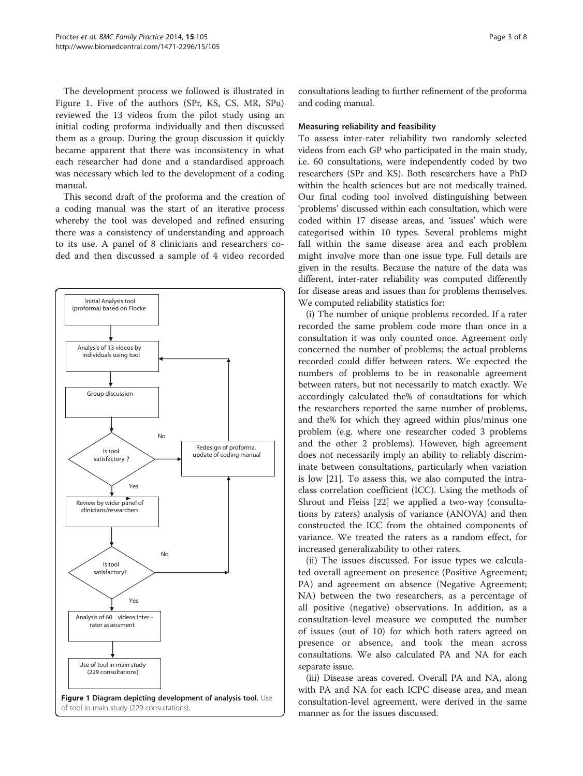The development process we followed is illustrated in Figure 1. Five of the authors (SPr, KS, CS, MR, SPu) reviewed the 13 videos from the pilot study using an initial coding proforma individually and then discussed them as a group. During the group discussion it quickly became apparent that there was inconsistency in what each researcher had done and a standardised approach was necessary which led to the development of a coding manual.

This second draft of the proforma and the creation of a coding manual was the start of an iterative process whereby the tool was developed and refined ensuring there was a consistency of understanding and approach to its use. A panel of 8 clinicians and researchers coded and then discussed a sample of 4 video recorded



consultations leading to further refinement of the proforma and coding manual.

#### Measuring reliability and feasibility

To assess inter-rater reliability two randomly selected videos from each GP who participated in the main study, i.e. 60 consultations, were independently coded by two researchers (SPr and KS). Both researchers have a PhD within the health sciences but are not medically trained. Our final coding tool involved distinguishing between 'problems' discussed within each consultation, which were coded within 17 disease areas, and 'issues' which were categorised within 10 types. Several problems might fall within the same disease area and each problem might involve more than one issue type. Full details are given in the results. Because the nature of the data was different, inter-rater reliability was computed differently for disease areas and issues than for problems themselves. We computed reliability statistics for:

(i) The number of unique problems recorded. If a rater recorded the same problem code more than once in a consultation it was only counted once. Agreement only concerned the number of problems; the actual problems recorded could differ between raters. We expected the numbers of problems to be in reasonable agreement between raters, but not necessarily to match exactly. We accordingly calculated the% of consultations for which the researchers reported the same number of problems, and the% for which they agreed within plus/minus one problem (e.g. where one researcher coded 3 problems and the other 2 problems). However, high agreement does not necessarily imply an ability to reliably discriminate between consultations, particularly when variation is low [\[21](#page-7-0)]. To assess this, we also computed the intraclass correlation coefficient (ICC). Using the methods of Shrout and Fleiss [[22\]](#page-7-0) we applied a two-way (consultations by raters) analysis of variance (ANOVA) and then constructed the ICC from the obtained components of variance. We treated the raters as a random effect, for increased generalizability to other raters.

(ii) The issues discussed. For issue types we calculated overall agreement on presence (Positive Agreement; PA) and agreement on absence (Negative Agreement; NA) between the two researchers, as a percentage of all positive (negative) observations. In addition, as a consultation-level measure we computed the number of issues (out of 10) for which both raters agreed on presence or absence, and took the mean across consultations. We also calculated PA and NA for each separate issue.

(iii) Disease areas covered. Overall PA and NA, along with PA and NA for each ICPC disease area, and mean consultation-level agreement, were derived in the same manner as for the issues discussed.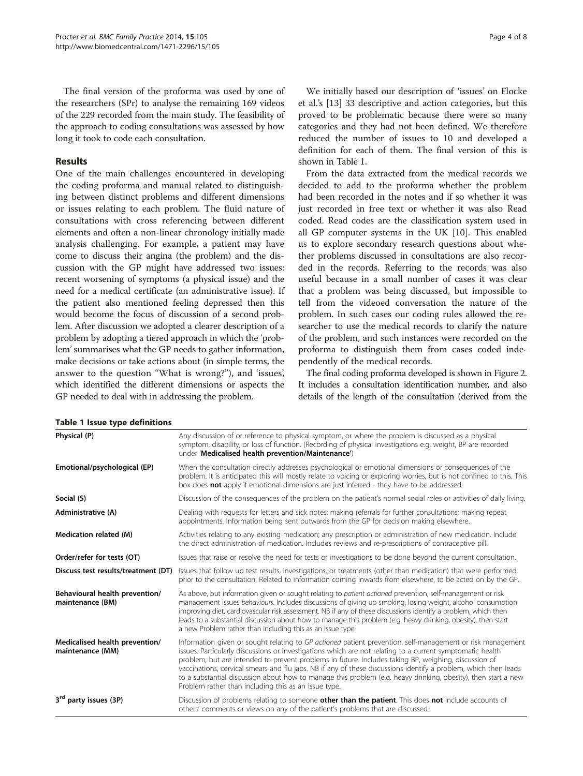<span id="page-3-0"></span>The final version of the proforma was used by one of the researchers (SPr) to analyse the remaining 169 videos of the 229 recorded from the main study. The feasibility of the approach to coding consultations was assessed by how long it took to code each consultation.

## Results

One of the main challenges encountered in developing the coding proforma and manual related to distinguishing between distinct problems and different dimensions or issues relating to each problem. The fluid nature of consultations with cross referencing between different elements and often a non-linear chronology initially made analysis challenging. For example, a patient may have come to discuss their angina (the problem) and the discussion with the GP might have addressed two issues: recent worsening of symptoms (a physical issue) and the need for a medical certificate (an administrative issue). If the patient also mentioned feeling depressed then this would become the focus of discussion of a second problem. After discussion we adopted a clearer description of a problem by adopting a tiered approach in which the 'problem'summarises what the GP needs to gather information, make decisions or take actions about (in simple terms, the answer to the question "What is wrong?"), and 'issues', which identified the different dimensions or aspects the GP needed to deal with in addressing the problem.

We initially based our description of 'issues' on Flocke et al.'s [[13](#page-6-0)] 33 descriptive and action categories, but this proved to be problematic because there were so many categories and they had not been defined. We therefore reduced the number of issues to 10 and developed a definition for each of them. The final version of this is shown in Table 1.

From the data extracted from the medical records we decided to add to the proforma whether the problem had been recorded in the notes and if so whether it was just recorded in free text or whether it was also Read coded. Read codes are the classification system used in all GP computer systems in the UK [\[10](#page-6-0)]. This enabled us to explore secondary research questions about whether problems discussed in consultations are also recorded in the records. Referring to the records was also useful because in a small number of cases it was clear that a problem was being discussed, but impossible to tell from the videoed conversation the nature of the problem. In such cases our coding rules allowed the researcher to use the medical records to clarify the nature of the problem, and such instances were recorded on the proforma to distinguish them from cases coded independently of the medical records.

The final coding proforma developed is shown in Figure [2](#page-4-0). It includes a consultation identification number, and also details of the length of the consultation (derived from the

| Physical (P)                                       | Any discussion of or reference to physical symptom, or where the problem is discussed as a physical<br>symptom, disability, or loss of function. (Recording of physical investigations e.g. weight, BP are recorded<br>under 'Medicalised health prevention/Maintenance')                                                                                                                                                                                                                                                                                                                                                   |
|----------------------------------------------------|-----------------------------------------------------------------------------------------------------------------------------------------------------------------------------------------------------------------------------------------------------------------------------------------------------------------------------------------------------------------------------------------------------------------------------------------------------------------------------------------------------------------------------------------------------------------------------------------------------------------------------|
| Emotional/psychological (EP)                       | When the consultation directly addresses psychological or emotional dimensions or consequences of the<br>problem. It is anticipated this will mostly relate to voicing or exploring worries, but is not confined to this. This<br>box does <b>not</b> apply if emotional dimensions are just inferred - they have to be addressed.                                                                                                                                                                                                                                                                                          |
| Social (S)                                         | Discussion of the consequences of the problem on the patient's normal social roles or activities of daily living.                                                                                                                                                                                                                                                                                                                                                                                                                                                                                                           |
| Administrative (A)                                 | Dealing with requests for letters and sick notes; making referrals for further consultations; making repeat<br>appointments. Information being sent outwards from the GP for decision making elsewhere.                                                                                                                                                                                                                                                                                                                                                                                                                     |
| Medication related (M)                             | Activities relating to any existing medication; any prescription or administration of new medication. Include<br>the direct administration of medication. Includes reviews and re-prescriptions of contraceptive pill.                                                                                                                                                                                                                                                                                                                                                                                                      |
| Order/refer for tests (OT)                         | Issues that raise or resolve the need for tests or investigations to be done beyond the current consultation.                                                                                                                                                                                                                                                                                                                                                                                                                                                                                                               |
| Discuss test results/treatment (DT)                | Issues that follow up test results, investigations, or treatments (other than medication) that were performed<br>prior to the consultation. Related to information coming inwards from elsewhere, to be acted on by the GP.                                                                                                                                                                                                                                                                                                                                                                                                 |
| Behavioural health prevention/<br>maintenance (BM) | As above, but information given or sought relating to patient actioned prevention, self-management or risk<br>management issues behaviours. Includes discussions of giving up smoking, losing weight, alcohol consumption<br>improving diet, cardiovascular risk assessment. NB if any of these discussions identify a problem, which then<br>leads to a substantial discussion about how to manage this problem (e.g. heavy drinking, obesity), then start<br>a new Problem rather than including this as an issue type.                                                                                                   |
| Medicalised health prevention/<br>maintenance (MM) | Information given or sought relating to GP actioned patient prevention, self-management or risk management<br>issues. Particularly discussions or investigations which are not relating to a current symptomatic health<br>problem, but are intended to prevent problems in future. Includes taking BP, weighing, discussion of<br>vaccinations, cervical smears and flu jabs. NB if any of these discussions identify a problem, which then leads<br>to a substantial discussion about how to manage this problem (e.g. heavy drinking, obesity), then start a new<br>Problem rather than including this as an issue type. |
| 3 <sup>rd</sup> party issues (3P)                  | Discussion of problems relating to someone <b>other than the patient</b> . This does <b>not</b> include accounts of<br>others' comments or views on any of the patient's problems that are discussed.                                                                                                                                                                                                                                                                                                                                                                                                                       |

#### Table 1 Issue type definitions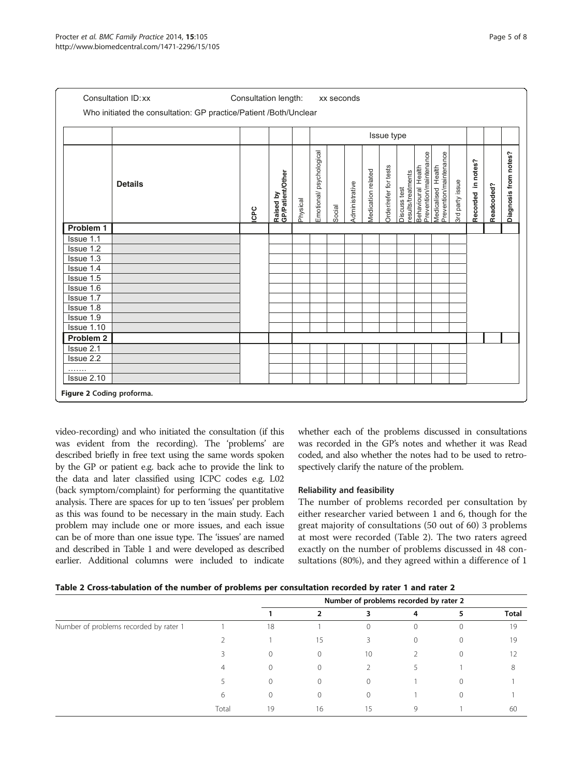<span id="page-4-0"></span>

|                                                                   | Consultation ID: xx | Consultation length: |                               |          |                          | xx seconds |                |                    |                       |                                    |                                              |                                              |                 |                    |            |                       |
|-------------------------------------------------------------------|---------------------|----------------------|-------------------------------|----------|--------------------------|------------|----------------|--------------------|-----------------------|------------------------------------|----------------------------------------------|----------------------------------------------|-----------------|--------------------|------------|-----------------------|
| Who initiated the consultation: GP practice/Patient /Both/Unclear |                     |                      |                               |          |                          |            |                |                    |                       |                                    |                                              |                                              |                 |                    |            |                       |
|                                                                   |                     |                      |                               |          |                          |            |                |                    |                       |                                    |                                              |                                              |                 |                    |            |                       |
|                                                                   |                     |                      |                               |          | Issue type               |            |                |                    |                       |                                    |                                              |                                              |                 |                    |            |                       |
|                                                                   |                     |                      |                               |          |                          |            |                |                    |                       |                                    |                                              |                                              |                 |                    |            |                       |
|                                                                   | <b>Details</b>      |                      | Raised by<br>GP/Patient/Other |          | Emotional/ psychological |            | Administrative | Medication related | Order/refer for tests | results/treatments<br>Discuss test | Prevention/maintenance<br>Behavioural Health | Medicalised Health<br>Prevention/maintenance | 3rd party issue | Recorded in notes? | Readcoded? | Diagnosis from notes? |
|                                                                   |                     | ICPC                 |                               | Physical |                          | Social     |                |                    |                       |                                    |                                              |                                              |                 |                    |            |                       |
| Problem 1                                                         |                     |                      |                               |          |                          |            |                |                    |                       |                                    |                                              |                                              |                 |                    |            |                       |
| Issue 1.1                                                         |                     |                      |                               |          |                          |            |                |                    |                       |                                    |                                              |                                              |                 |                    |            |                       |
| Issue 1.2                                                         |                     |                      |                               |          |                          |            |                |                    |                       |                                    |                                              |                                              |                 |                    |            |                       |
| Issue 1.3                                                         |                     |                      |                               |          |                          |            |                |                    |                       |                                    |                                              |                                              |                 |                    |            |                       |
| Issue 1.4                                                         |                     |                      |                               |          |                          |            |                |                    |                       |                                    |                                              |                                              |                 |                    |            |                       |
| Issue $1.5$                                                       |                     |                      |                               |          |                          |            |                |                    |                       |                                    |                                              |                                              |                 |                    |            |                       |
| Issue $1.\overline{6}$                                            |                     |                      |                               |          |                          |            |                |                    |                       |                                    |                                              |                                              |                 |                    |            |                       |
| Issue 1.7                                                         |                     |                      |                               |          |                          |            |                |                    |                       |                                    |                                              |                                              |                 |                    |            |                       |
| Issue 1.8                                                         |                     |                      |                               |          |                          |            |                |                    |                       |                                    |                                              |                                              |                 |                    |            |                       |
| Issue 1.9                                                         |                     |                      |                               |          |                          |            |                |                    |                       |                                    |                                              |                                              |                 |                    |            |                       |
| Issue 1.10                                                        |                     |                      |                               |          |                          |            |                |                    |                       |                                    |                                              |                                              |                 |                    |            |                       |
| Problem <sub>2</sub>                                              |                     |                      |                               |          |                          |            |                |                    |                       |                                    |                                              |                                              |                 |                    |            |                       |
| Issue 2.1                                                         |                     |                      |                               |          |                          |            |                |                    |                       |                                    |                                              |                                              |                 |                    |            |                       |
| Issue 2.2                                                         |                     |                      |                               |          |                          |            |                |                    |                       |                                    |                                              |                                              |                 |                    |            |                       |
| .                                                                 |                     |                      |                               |          |                          |            |                |                    |                       |                                    |                                              |                                              |                 |                    |            |                       |
| Issue 2.10                                                        |                     |                      |                               |          |                          |            |                |                    |                       |                                    |                                              |                                              |                 |                    |            |                       |
| Figure 2 Coding proforma.                                         |                     |                      |                               |          |                          |            |                |                    |                       |                                    |                                              |                                              |                 |                    |            |                       |

video-recording) and who initiated the consultation (if this was evident from the recording). The 'problems' are described briefly in free text using the same words spoken by the GP or patient e.g. back ache to provide the link to the data and later classified using ICPC codes e.g. L02 (back symptom/complaint) for performing the quantitative analysis. There are spaces for up to ten 'issues' per problem as this was found to be necessary in the main study. Each problem may include one or more issues, and each issue can be of more than one issue type. The 'issues' are named and described in Table [1](#page-3-0) and were developed as described earlier. Additional columns were included to indicate whether each of the problems discussed in consultations was recorded in the GP's notes and whether it was Read coded, and also whether the notes had to be used to retrospectively clarify the nature of the problem.

## Reliability and feasibility

The number of problems recorded per consultation by either researcher varied between 1 and 6, though for the great majority of consultations (50 out of 60) 3 problems at most were recorded (Table 2). The two raters agreed exactly on the number of problems discussed in 48 consultations (80%), and they agreed within a difference of 1

| Table 2 Cross-tabulation of the number of problems per consultation recorded by rater 1 and rater 2 |  |  |  |
|-----------------------------------------------------------------------------------------------------|--|--|--|
|-----------------------------------------------------------------------------------------------------|--|--|--|

|                                        |       | Number of problems recorded by rater 2 |    |    |   |          |       |  |  |  |
|----------------------------------------|-------|----------------------------------------|----|----|---|----------|-------|--|--|--|
|                                        |       |                                        |    |    | 4 |          | Total |  |  |  |
| Number of problems recorded by rater 1 |       | 18                                     |    |    |   | $\Omega$ | 19    |  |  |  |
|                                        |       |                                        | 15 |    |   |          | 19    |  |  |  |
|                                        |       |                                        |    | 10 |   |          | 12    |  |  |  |
|                                        |       |                                        |    |    |   |          | 8     |  |  |  |
|                                        |       |                                        |    |    |   |          |       |  |  |  |
|                                        | 6     |                                        |    |    |   |          |       |  |  |  |
|                                        | Total | 19                                     | 16 | 15 | 9 |          | 60    |  |  |  |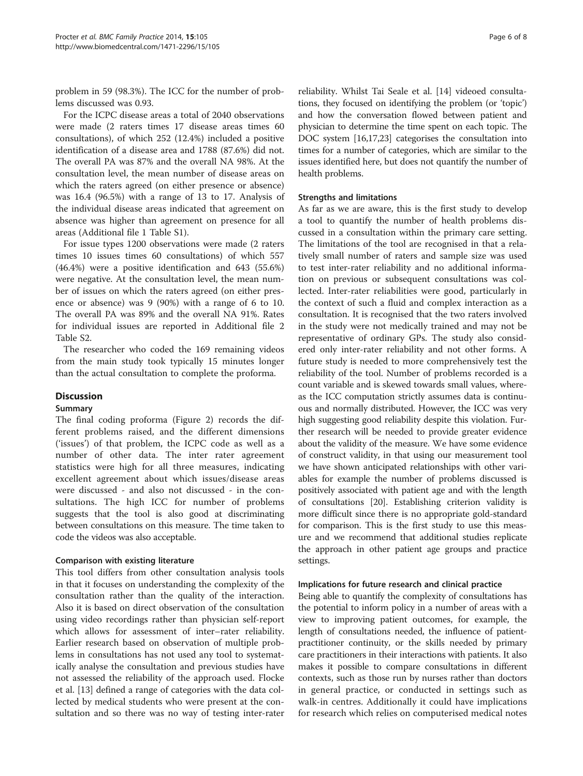problem in 59 (98.3%). The ICC for the number of problems discussed was 0.93.

For the ICPC disease areas a total of 2040 observations were made (2 raters times 17 disease areas times 60 consultations), of which 252 (12.4%) included a positive identification of a disease area and 1788 (87.6%) did not. The overall PA was 87% and the overall NA 98%. At the consultation level, the mean number of disease areas on which the raters agreed (on either presence or absence) was 16.4 (96.5%) with a range of 13 to 17. Analysis of the individual disease areas indicated that agreement on absence was higher than agreement on presence for all areas (Additional file [1](#page-6-0) Table S1).

For issue types 1200 observations were made (2 raters times 10 issues times 60 consultations) of which 557 (46.4%) were a positive identification and 643 (55.6%) were negative. At the consultation level, the mean number of issues on which the raters agreed (on either presence or absence) was 9 (90%) with a range of 6 to 10. The overall PA was 89% and the overall NA 91%. Rates for individual issues are reported in Additional file [2](#page-6-0) Table S2.

The researcher who coded the 169 remaining videos from the main study took typically 15 minutes longer than the actual consultation to complete the proforma.

## **Discussion**

## Summary

The final coding proforma (Figure [2](#page-4-0)) records the different problems raised, and the different dimensions ('issues') of that problem, the ICPC code as well as a number of other data. The inter rater agreement statistics were high for all three measures, indicating excellent agreement about which issues/disease areas were discussed - and also not discussed - in the consultations. The high ICC for number of problems suggests that the tool is also good at discriminating between consultations on this measure. The time taken to code the videos was also acceptable.

## Comparison with existing literature

This tool differs from other consultation analysis tools in that it focuses on understanding the complexity of the consultation rather than the quality of the interaction. Also it is based on direct observation of the consultation using video recordings rather than physician self-report which allows for assessment of inter–rater reliability. Earlier research based on observation of multiple problems in consultations has not used any tool to systematically analyse the consultation and previous studies have not assessed the reliability of the approach used. Flocke et al. [\[13](#page-6-0)] defined a range of categories with the data collected by medical students who were present at the consultation and so there was no way of testing inter-rater

reliability. Whilst Tai Seale et al. [[14](#page-6-0)] videoed consultations, they focused on identifying the problem (or 'topic') and how the conversation flowed between patient and physician to determine the time spent on each topic. The DOC system [\[16,17,23](#page-7-0)] categorises the consultation into times for a number of categories, which are similar to the issues identified here, but does not quantify the number of health problems.

#### Strengths and limitations

As far as we are aware, this is the first study to develop a tool to quantify the number of health problems discussed in a consultation within the primary care setting. The limitations of the tool are recognised in that a relatively small number of raters and sample size was used to test inter-rater reliability and no additional information on previous or subsequent consultations was collected. Inter-rater reliabilities were good, particularly in the context of such a fluid and complex interaction as a consultation. It is recognised that the two raters involved in the study were not medically trained and may not be representative of ordinary GPs. The study also considered only inter-rater reliability and not other forms. A future study is needed to more comprehensively test the reliability of the tool. Number of problems recorded is a count variable and is skewed towards small values, whereas the ICC computation strictly assumes data is continuous and normally distributed. However, the ICC was very high suggesting good reliability despite this violation. Further research will be needed to provide greater evidence about the validity of the measure. We have some evidence of construct validity, in that using our measurement tool we have shown anticipated relationships with other variables for example the number of problems discussed is positively associated with patient age and with the length of consultations [\[20](#page-7-0)]. Establishing criterion validity is more difficult since there is no appropriate gold-standard for comparison. This is the first study to use this measure and we recommend that additional studies replicate the approach in other patient age groups and practice settings.

#### Implications for future research and clinical practice

Being able to quantify the complexity of consultations has the potential to inform policy in a number of areas with a view to improving patient outcomes, for example, the length of consultations needed, the influence of patientpractitioner continuity, or the skills needed by primary care practitioners in their interactions with patients. It also makes it possible to compare consultations in different contexts, such as those run by nurses rather than doctors in general practice, or conducted in settings such as walk-in centres. Additionally it could have implications for research which relies on computerised medical notes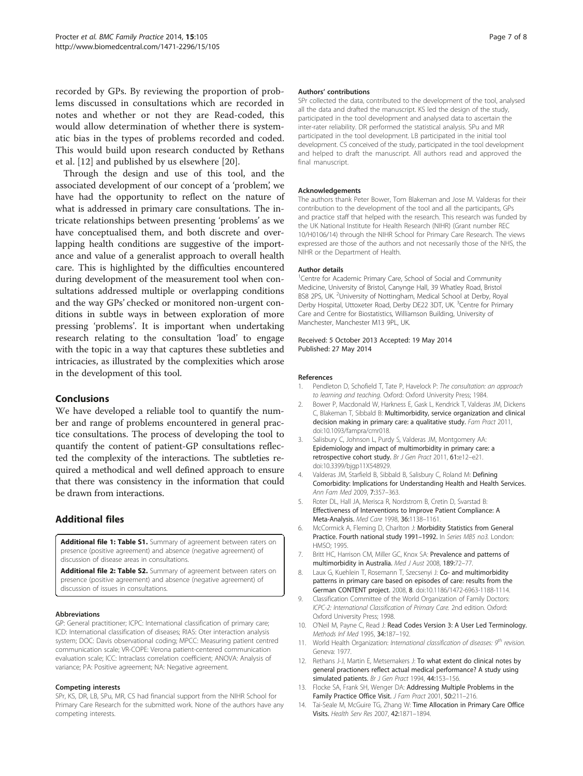<span id="page-6-0"></span>recorded by GPs. By reviewing the proportion of problems discussed in consultations which are recorded in notes and whether or not they are Read-coded, this would allow determination of whether there is systematic bias in the types of problems recorded and coded. This would build upon research conducted by Rethans et al. [12] and published by us elsewhere [[20\]](#page-7-0).

Through the design and use of this tool, and the associated development of our concept of a 'problem', we have had the opportunity to reflect on the nature of what is addressed in primary care consultations. The intricate relationships between presenting 'problems' as we have conceptualised them, and both discrete and overlapping health conditions are suggestive of the importance and value of a generalist approach to overall health care. This is highlighted by the difficulties encountered during development of the measurement tool when consultations addressed multiple or overlapping conditions and the way GPs' checked or monitored non-urgent conditions in subtle ways in between exploration of more pressing 'problems'. It is important when undertaking research relating to the consultation 'load' to engage with the topic in a way that captures these subtleties and intricacies, as illustrated by the complexities which arose in the development of this tool.

## Conclusions

We have developed a reliable tool to quantify the number and range of problems encountered in general practice consultations. The process of developing the tool to quantify the content of patient-GP consultations reflected the complexity of the interactions. The subtleties required a methodical and well defined approach to ensure that there was consistency in the information that could be drawn from interactions.

## Additional files

[Additional file 1: Table S1.](http://www.biomedcentral.com/content/supplementary/1471-2296-15-105-S1.pdf) Summary of agreement between raters on presence (positive agreement) and absence (negative agreement) of discussion of disease areas in consultations.

[Additional file 2: Table S2.](http://www.biomedcentral.com/content/supplementary/1471-2296-15-105-S2.docx) Summary of agreement between raters on presence (positive agreement) and absence (negative agreement) of discussion of issues in consultations.

#### Abbreviations

GP: General practitioner; ICPC: International classification of primary care; ICD: International classification of diseases; RIAS: Oter interaction analysis system; DOC: Davis observational coding; MPCC: Measuring patient centred communication scale; VR-COPE: Verona patient-centered communication evaluation scale; ICC: Intraclass correlation coefficient; ANOVA: Analysis of variance; PA: Positive agreement; NA: Negative agreement.

#### Competing interests

SPr, KS, DR, LB, SPu, MR, CS had financial support from the NIHR School for Primary Care Research for the submitted work. None of the authors have any competing interests.

#### Authors' contributions

SPr collected the data, contributed to the development of the tool, analysed all the data and drafted the manuscript. KS led the design of the study, participated in the tool development and analysed data to ascertain the inter-rater reliability. DR performed the statistical analysis. SPu and MR participated in the tool development. LB participated in the initial tool development. CS conceived of the study, participated in the tool development and helped to draft the manuscript. All authors read and approved the final manuscript.

#### Acknowledgements

The authors thank Peter Bower, Tom Blakeman and Jose M. Valderas for their contribution to the development of the tool and all the participants, GPs and practice staff that helped with the research. This research was funded by the UK National Institute for Health Research (NIHR) (Grant number REC 10/H0106/14) through the NIHR School for Primary Care Research. The views expressed are those of the authors and not necessarily those of the NHS, the NIHR or the Department of Health.

#### Author details

<sup>1</sup> Centre for Academic Primary Care, School of Social and Community Medicine, University of Bristol, Canynge Hall, 39 Whatley Road, Bristol BS8 2PS, UK. <sup>2</sup>University of Nottingham, Medical School at Derby, Royal Derby Hospital, Uttoxeter Road, Derby DE22 3DT, UK. <sup>3</sup>Centre for Primary Care and Centre for Biostatistics, Williamson Building, University of Manchester, Manchester M13 9PL, UK.

#### Received: 5 October 2013 Accepted: 19 May 2014 Published: 27 May 2014

#### References

- 1. Pendleton D, Schofield T, Tate P, Havelock P: The consultation: an approach to learning and teaching. Oxford: Oxford University Press; 1984.
- 2. Bower P, Macdonald W, Harkness E, Gask L, Kendrick T, Valderas JM, Dickens C, Blakeman T, Sibbald B: Multimorbidity, service organization and clinical decision making in primary care: a qualitative study. Fam Pract 2011, doi:10.1093/fampra/cmr018.
- 3. Salisbury C, Johnson L, Purdy S, Valderas JM, Montgomery AA: Epidemiology and impact of multimorbidity in primary care: a retrospective cohort study. Br J Gen Pract 2011, 61:e12–e21. doi:10.3399/bjgp11X548929.
- 4. Valderas JM, Starfield B, Sibbald B, Salisbury C, Roland M: Defining Comorbidity: Implications for Understanding Health and Health Services. Ann Fam Med 2009, 7:357–363.
- Roter DL, Hall JA, Merisca R, Nordstrom B, Cretin D, Svarstad B: Effectiveness of Interventions to Improve Patient Compliance: A Meta-Analysis. Med Care 1998, 36:1138–1161.
- 6. McCormick A, Fleming D, Charlton J: Morbidity Statistics from General Practice. Fourth national study 1991-1992. In Series MB5 no3. London: HMSO; 1995.
- 7. Britt HC, Harrison CM, Miller GC, Knox SA: Prevalence and patterns of multimorbidity in Australia. Med J Aust 2008, 189:72–77.
- 8. Laux G, Kuehlein T, Rosemann T, Szecsenyi J: Co- and multimorbidity patterns in primary care based on episodes of care: results from the German CONTENT project. 2008, 8. doi:10.1186/1472-6963-1188-1114.
- 9. Classification Committee of the World Organization of Family Doctors: ICPC-2: International Classification of Primary Care. 2nd edition. Oxford: Oxford University Press; 1998.
- 10. O'Neil M, Payne C, Read J: Read Codes Version 3: A User Led Terminology. Methods Inf Med 1995, 34:187–192.
- 11. World Health Organization: International classification of diseases: 9<sup>th</sup> revision. Geneva: 1977.
- 12. Rethans J-J, Martin E, Metsemakers J: To what extent do clinical notes by general practioners reflect actual medical performance? A study using simulated patients. Br J Gen Pract 1994, 44:153-156.
- 13. Flocke SA, Frank SH, Wenger DA: Addressing Multiple Problems in the Family Practice Office Visit. J Fam Pract 2001, 50:211-216.
- 14. Tai-Seale M, McGuire TG, Zhang W: Time Allocation in Primary Care Office Visits. Health Serv Res 2007, 42:1871–1894.